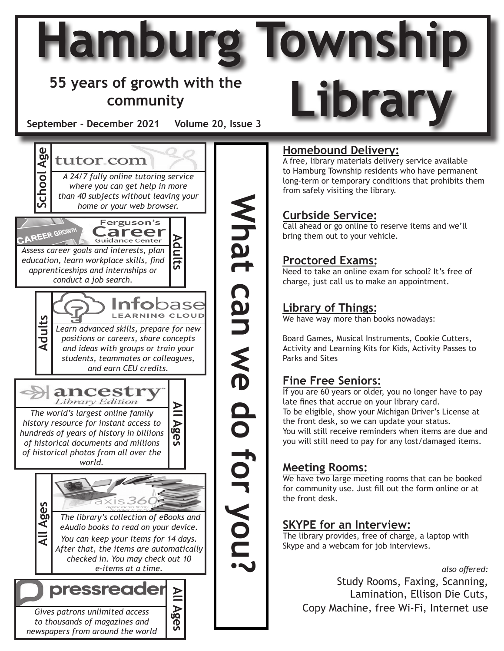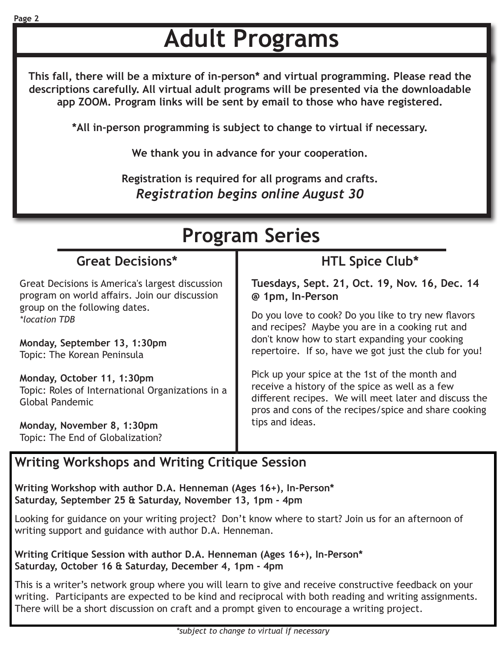## **Adult Programs**

**This fall, there will be a mixture of in-person\* and virtual programming. Please read the descriptions carefully. All virtual adult programs will be presented via the downloadable app ZOOM. Program links will be sent by email to those who have registered.**

**\*All in-person programming is subject to change to virtual if necessary.**

**We thank you in advance for your cooperation.** 

**Registration is required for all programs and crafts.** *Registration begins online August 30*

### **Program Series**

### **Great Decisions\***

Great Decisions is America's largest discussion program on world affairs. Join our discussion group on the following dates. *\*location TDB*

**Monday, September 13, 1:30pm** Topic: The Korean Peninsula

**Monday, October 11, 1:30pm** Topic: Roles of International Organizations in a Global Pandemic

**Monday, November 8, 1:30pm**  Topic: The End of Globalization?

### **HTL Spice Club\***

**Tuesdays, Sept. 21, Oct. 19, Nov. 16, Dec. 14 @ 1pm, In-Person**

Do you love to cook? Do you like to try new flavors and recipes? Maybe you are in a cooking rut and don't know how to start expanding your cooking repertoire. If so, have we got just the club for you!

Pick up your spice at the 1st of the month and receive a history of the spice as well as a few different recipes. We will meet later and discuss the pros and cons of the recipes/spice and share cooking tips and ideas.

### **Writing Workshops and Writing Critique Session**

**Writing Workshop with author D.A. Henneman (Ages 16+), In-Person\* Saturday, September 25 & Saturday, November 13, 1pm - 4pm**

Looking for guidance on your writing project? Don't know where to start? Join us for an afternoon of writing support and guidance with author D.A. Henneman.

### **Writing Critique Session with author D.A. Henneman (Ages 16+), In-Person\* Saturday, October 16 & Saturday, December 4, 1pm - 4pm**

This is a writer's network group where you will learn to give and receive constructive feedback on your writing. Participants are expected to be kind and reciprocal with both reading and writing assignments. There will be a short discussion on craft and a prompt given to encourage a writing project.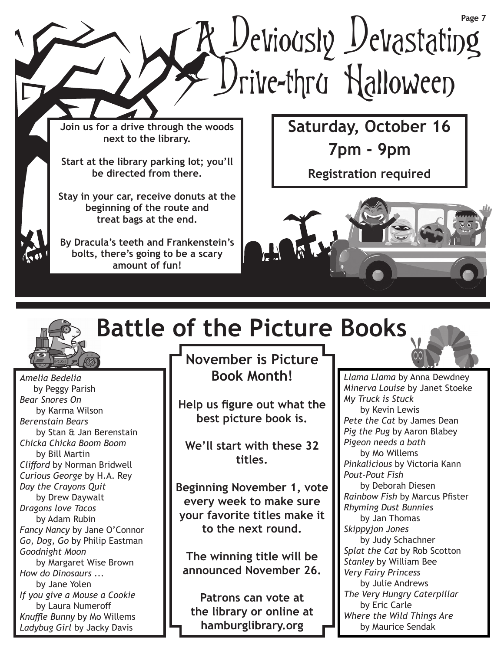# **Page 7** Deviously Devastating Drive-thru Halloween

**Join us for a drive through the woods next to the library.** 

**Start at the library parking lot; you'll be directed from there.**

**Stay in your car, receive donuts at the beginning of the route and treat bags at the end.**

**By Dracula's teeth and Frankenstein's bolts, there's going to be a scary amount of fun!**

**Saturday, October 16 7pm - 9pm**

**Registration required**





## **Battle of the Picture Books**

*Amelia Bedelia* by Peggy Parish *Bear Snores On* by Karma Wilson *Berenstain Bears* by Stan & Jan Berenstain *Chicka Chicka Boom Boom* by Bill Martin *Clifford* by Norman Bridwell *Curious George* by H.A. Rey *Day the Crayons Quit* by Drew Daywalt *Dragons love Tacos*  by Adam Rubin *Fancy Nancy* by Jane O'Connor *Go, Dog, Go* by Philip Eastman *Goodnight Moon* by Margaret Wise Brown *How do Dinosaurs ...* **by Jane Yolen** *If you give a Mouse a Cookie* by Laura Numeroff *Knuffle Bunny* by Mo Willems *Ladybug Girl* by Jacky Davis

**November is Picture Book Month!**

**Help us figure out what the best picture book is.**

**We'll start with these 32 titles.**

**Beginning November 1, vote every week to make sure your favorite titles make it to the next round.**

**The winning title will be announced November 26.**

**Patrons can vote at the library or online at hamburglibrary.org**



*Llama Llama* by Anna Dewdney *Minerva Louise* by Janet Stoeke *My Truck is Stuck* by Kevin Lewis *Pete the Cat* by James Dean *Pig the Pug* by Aaron Blabey *Pigeon needs a bath*  by Mo Willems *Pinkalicious* by Victoria Kann *Pout-Pout Fish* by Deborah Diesen *Rainbow Fish* by Marcus Pfister *Rhyming Dust Bunnies* by Jan Thomas *Skippyjon Jones* by Judy Schachner *Splat the Cat* by Rob Scotton *Stanley* by William Bee *Very Fairy Princess* by Julie Andrews *The Very Hungry Caterpillar* by Eric Carle *Where the Wild Things Are* by Maurice Sendak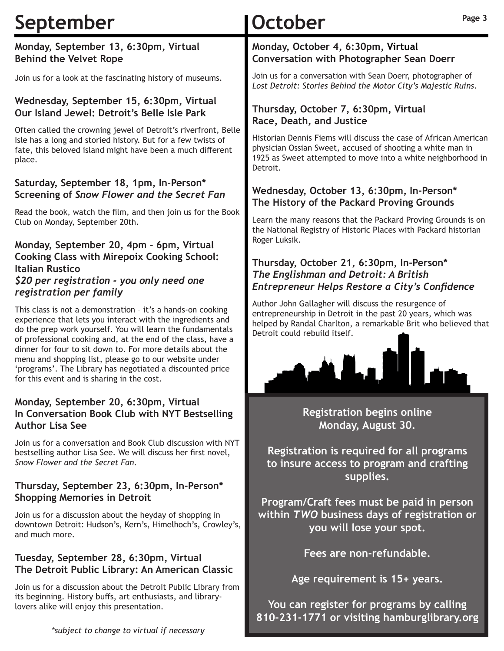### **September COLOUGER POCTODER**

#### **Monday, September 13, 6:30pm, Virtual Behind the Velvet Rope**

Join us for a look at the fascinating history of museums.

### **Wednesday, September 15, 6:30pm, Virtual Our Island Jewel: Detroit's Belle Isle Park**

Often called the crowning jewel of Detroit's riverfront, Belle Isle has a long and storied history. But for a few twists of fate, this beloved island might have been a much different place.

#### **Saturday, September 18, 1pm, In-Person\* Screening of** *Snow Flower and the Secret Fan*

Read the book, watch the film, and then join us for the Book Club on Monday, September 20th.

#### **Monday, September 20, 4pm - 6pm, Virtual Cooking Class with Mirepoix Cooking School: Italian Rustico** *\$20 per registration - you only need one*

*registration per family* This class is not a demonstration – it's a hands-on cooking experience that lets you interact with the ingredients and do the prep work yourself. You will learn the fundamentals of professional cooking and, at the end of the class, have a dinner for four to sit down to. For more details about the menu and shopping list, please go to our website under 'programs'. The Library has negotiated a discounted price

#### **Monday, September 20, 6:30pm, Virtual In Conversation Book Club with NYT Bestselling Author Lisa See**

for this event and is sharing in the cost.

Join us for a conversation and Book Club discussion with NYT bestselling author Lisa See. We will discuss her first novel, *Snow Flower and the Secret Fan*.

#### **Thursday, September 23, 6:30pm, In-Person\* Shopping Memories in Detroit**

Join us for a discussion about the heyday of shopping in downtown Detroit: Hudson's, Kern's, Himelhoch's, Crowley's, and much more.

### **Tuesday, September 28, 6:30pm, Virtual The Detroit Public Library: An American Classic**

Join us for a discussion about the Detroit Public Library from its beginning. History buffs, art enthusiasts, and librarylovers alike will enjoy this presentation.

### **Monday, October 4, 6:30pm, Virtual Conversation with Photographer Sean Doerr**

Join us for a conversation with Sean Doerr, photographer of *Lost Detroit: Stories Behind the Motor City's Majestic Ruins*.

### **Thursday, October 7, 6:30pm, Virtual Race, Death, and Justice**

Historian Dennis Fiems will discuss the case of African American physician Ossian Sweet, accused of shooting a white man in 1925 as Sweet attempted to move into a white neighborhood in Detroit.

### **Wednesday, October 13, 6:30pm, In-Person\* The History of the Packard Proving Grounds**

Learn the many reasons that the Packard Proving Grounds is on the National Registry of Historic Places with Packard historian Roger Luksik.

#### **Thursday, October 21, 6:30pm, In-Person\*** *The Englishman and Detroit: A British Entrepreneur Helps Restore a City's Confidence*

Author John Gallagher will discuss the resurgence of entrepreneurship in Detroit in the past 20 years, which was helped by Randal Charlton, a remarkable Brit who believed that Detroit could rebuild itself.



**Registration begins online Monday, August 30.**

**Registration is required for all programs to insure access to program and crafting supplies.**

**Program/Craft fees must be paid in person within** *TWO* **business days of registration or you will lose your spot.**

**Fees are non-refundable.**

**Age requirement is 15+ years.**

**You can register for programs by calling 810-231-1771 or visiting hamburglibrary.org**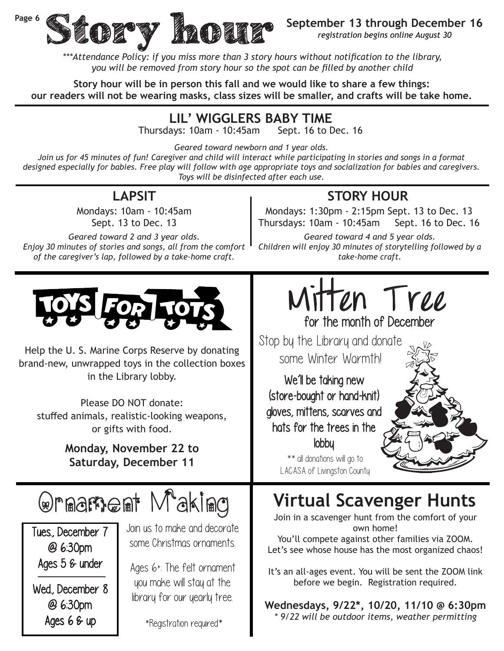### Page 6<sup>C</sup> **Story MOURE** September 13 through December 16 *registration begins online August 30*

*\*\*\*Attendance Policy: if you miss more than 3 story hours without notification to the library, you will be removed from story hour so the spot can be filled by another child*

**Story hour will be in person this fall and we would like to share a few things: our readers will not be wearing masks, class sizes will be smaller, and crafts will be take home.**

### **LIL' WIGGLERS BABY TIME**

Thursdays: 10am - 10:45am Sept. 16 to Dec. 16

*Geared toward newborn and 1 year olds.*

*Join us for 45 minutes of fun! Caregiver and child will interact while participating in stories and songs in a format designed especially for babies. Free play will follow with age appropriate toys and socialization for babies and caregivers. Toys will be disinfected after each use.* 

### **LAPSIT**

Mondays: 10am - 10:45am Sept. 13 to Dec. 13

*Geared toward 2 and 3 year olds. Enjoy 30 minutes of stories and songs, all from the comfort of the caregiver's lap, followed by a take-home craft.*

### **STORY HOUR**

Mondays: 1:30pm - 2:15pm Sept. 13 to Dec. 13 Thursdays: 10am - 10:45am Sept. 16 to Dec. 16

*Geared toward 4 and 5 year olds. Children will enjoy 30 minutes of storytelling followed by a take-home craft.*



Help the U. S. Marine Corps Reserve by donating brand-new, unwrapped toys in the collection boxes in the Library lobby.

Please DO NOT donate: stuffed animals, realistic-looking weapons, or gifts with food.

> **Monday, November 22 to Saturday, December 11**



Tues., December 7 @ 6:30pm Ages 5 & under

Wed., December 8 @ 6:30pm Ages  $66$  up

Join us to make and decorate some Christmas ornaments.

Ages 6+: The felt ornament you make will stay at the library for our yearly tree.

\*Registration required\*

Mitten Tree



### **<u>@Maarbent Making</u> | Virtual Scavenger Hunts**

lobby

Join in a scavenger hunt from the comfort of your own home!

You'll compete against other families via ZOOM. Let's see whose house has the most organized chaos!

It's an all-ages event. You will be sent the ZOOM link before we begin. Registration required.

**Wednesdays, 9/22\*, 10/20, 11/10 @ 6:30pm** *\* 9/22 will be outdoor items, weather permitting*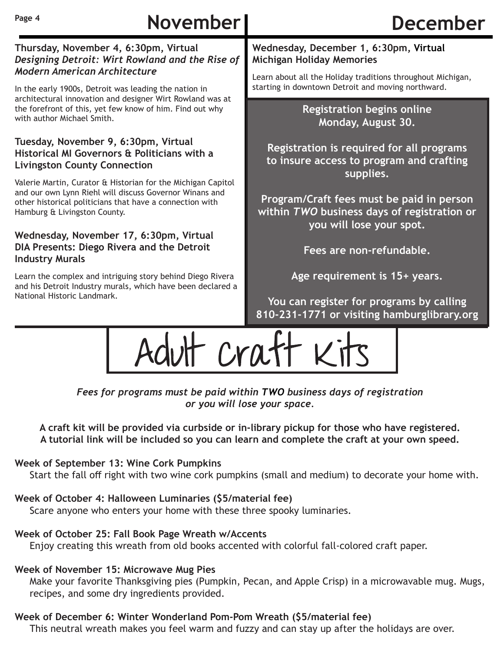### **November**

### **December**

#### **Thursday, November 4, 6:30pm, Virtual** *Designing Detroit: Wirt Rowland and the Rise of Modern American Architecture*

In the early 1900s, Detroit was leading the nation in architectural innovation and designer Wirt Rowland was at the forefront of this, yet few know of him. Find out why with author Michael Smith.

### **Tuesday, November 9, 6:30pm, Virtual Historical MI Governors & Politicians with a Livingston County Connection**

Valerie Martin, Curator & Historian for the Michigan Capitol and our own Lynn Riehl will discuss Governor Winans and other historical politicians that have a connection with Hamburg & Livingston County.

#### **Wednesday, November 17, 6:30pm, Virtual DIA Presents: Diego Rivera and the Detroit Industry Murals**

Learn the complex and intriguing story behind Diego Rivera and his Detroit Industry murals, which have been declared a National Historic Landmark.

**Wednesday, December 1, 6:30pm, Virtual Michigan Holiday Memories**

Learn about all the Holiday traditions throughout Michigan, starting in downtown Detroit and moving northward.

> **Registration begins online Monday, August 30.**

**Registration is required for all programs to insure access to program and crafting supplies.**

**Program/Craft fees must be paid in person within** *TWO* **business days of registration or you will lose your spot.**

**Fees are non-refundable.**

**Age requirement is 15+ years.**

**You can register for programs by calling 810-231-1771 or visiting hamburglibrary.org**

Adult Craft Kits

*Fees for programs must be paid within TWO business days of registration or you will lose your space.*

**A craft kit will be provided via curbside or in-library pickup for those who have registered. A tutorial link will be included so you can learn and complete the craft at your own speed.**

### **Week of September 13: Wine Cork Pumpkins**

Start the fall off right with two wine cork pumpkins (small and medium) to decorate your home with.

### **Week of October 4: Halloween Luminaries (\$5/material fee)**

Scare anyone who enters your home with these three spooky luminaries.

### **Week of October 25: Fall Book Page Wreath w/Accents**

Enjoy creating this wreath from old books accented with colorful fall-colored craft paper.

### **Week of November 15: Microwave Mug Pies**

Make your favorite Thanksgiving pies (Pumpkin, Pecan, and Apple Crisp) in a microwavable mug. Mugs, recipes, and some dry ingredients provided.

### **Week of December 6: Winter Wonderland Pom-Pom Wreath (\$5/material fee)**

This neutral wreath makes you feel warm and fuzzy and can stay up after the holidays are over.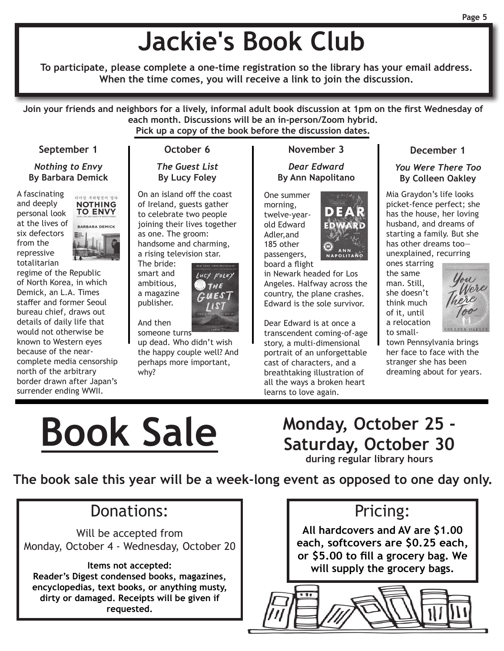# **Jackie's Book Club**

**To participate, please complete a one-time registration so the library has your email address. When the time comes, you will receive a link to join the discussion.**

**Join your friends and neighbors for a lively, informal adult book discussion at 1pm on the first Wednesday of each month. Discussions will be an in-person/Zoom hybrid. Pick up a copy of the book before the discussion dates.**

### **September 1**

#### *Nothing to Envy* **By Barbara Demick**

A fascinating and deeply personal look at the lives of six defectors from the repressive totalitarian



더이상 부러월것이 업다

regime of the Republic of North Korea, in which Demick, an L.A. Times staffer and former Seoul bureau chief, draws out details of daily life that would not otherwise be known to Western eyes because of the nearcomplete media censorship north of the arbitrary border drawn after Japan's surrender ending WWII.

### **October 6**

*The Guest List* **By Lucy Foley**

On an island off the coast of Ireland, guests gather to celebrate two people joining their lives together as one. The groom: handsome and charming, a rising television star. The bride:



up dead. Who didn't wish the happy couple well? And perhaps more important, why?

### **November 3** *Dear Edward* **By Ann Napolitano**

One summer morning, twelve-yearold Edward Adler,and 185 other passengers, board a flight



in Newark headed for Los Angeles. Halfway across the country, the plane crashes. Edward is the sole survivor.

Dear Edward is at once a transcendent coming-of-age story, a multi-dimensional portrait of an unforgettable cast of characters, and a breathtaking illustration of all the ways a broken heart learns to love again.

### **December 1**

*You Were There Too* **By Colleen Oakley**

Mia Graydon's life looks picket-fence perfect; she has the house, her loving husband, and dreams of starting a family. But she has other dreams too unexplained, recurring

ones starring the same man. Still, she doesn't think much of it, until a relocation to small-



town Pennsylvania brings her face to face with the stranger she has been dreaming about for years.

# **Book Sale**

**Saturday, October 30 during regular library hours**

**The book sale this year will be a week-long event as opposed to one day only.**

### Donations:

Will be accepted from Monday, October 4 - Wednesday, October 20

**Items not accepted: Reader's Digest condensed books, magazines, encyclopedias, text books, or anything musty, dirty or damaged. Receipts will be given if requested.**

# **Monday, October 25 -**